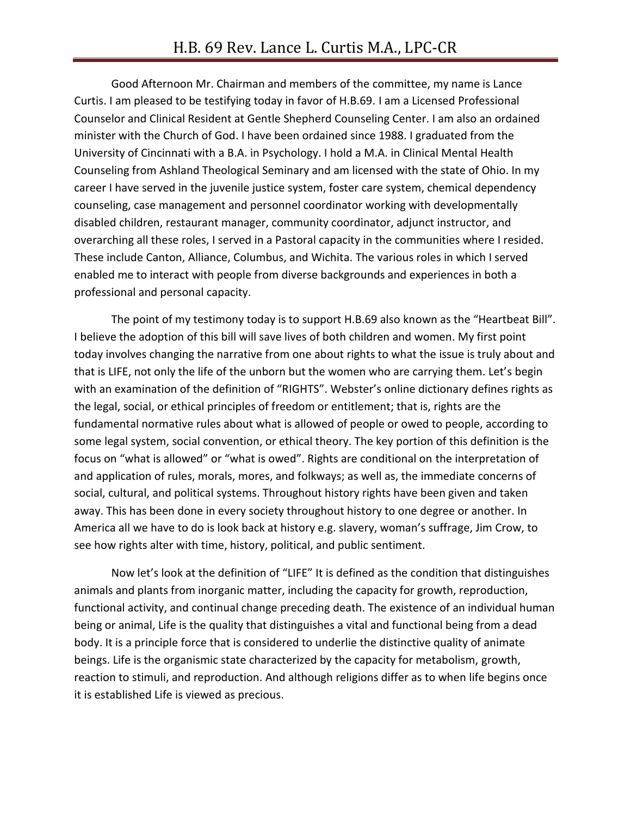Good Afternoon Mr. Chairman and members of the committee, my name is Lance Curtis. I am pleased to be testifying today in favor of H.B.69. I am a Licensed Professional Counselor and Clinical Resident at Gentle Shepherd Counseling Center. I am also an ordained minister with the Church of God. I have been ordained since 1988. I graduated from the University of Cincinnati with a B.A. in Psychology. I hold a M.A. in Clinical Mental Health Counseling from Ashland Theological Seminary and am licensed with the state of Ohio. In my career I have served in the juvenile justice system, foster care system, chemical dependency counseling, case management and personnel coordinator working with developmentally disabled children, restaurant manager, community coordinator, adjunct instructor, and overarching all these roles, I served in a Pastoral capacity in the communities where I resided. These include Canton, Alliance, Columbus, and Wichita. The various roles in which I served enabled me to interact with people from diverse backgrounds and experiences in both a professional and personal capacity.

The point of my testimony today is to support H.B.69 also known as the "Heartbeat Bill". I believe the adoption of this bill will save lives of both children and women. My first point today involves changing the narrative from one about rights to what the issue is truly about and that is LIFE, not only the life of the unborn but the women who are carrying them. Let's begin with an examination of the definition of "RIGHTS". Webster's online dictionary defines rights as the legal, social, or ethical principles of freedom or entitlement; that is, rights are the fundamental normative rules about what is allowed of people or owed to people, according to some legal system, social convention, or ethical theory. The key portion of this definition is the focus on "what is allowed" or "what is owed". Rights are conditional on the interpretation of and application of rules, morals, mores, and folkways; as well as, the immediate concerns of social, cultural, and political systems. Throughout history rights have been given and taken away. This has been done in every society throughout history to one degree or another. In America all we have to do is look back at history e.g. slavery, woman's suffrage, Jim Crow, to see how rights alter with time, history, political, and public sentiment.

Now let's look at the definition of "LIFE" It is defined as the condition that distinguishes animals and plants from inorganic matter, including the capacity for growth, reproduction, functional activity, and continual change preceding death. The existence of an individual human being or animal, Life is the quality that distinguishes a vital and functional being from a dead body. It is a principle force that is considered to underlie the distinctive quality of animate beings. Life is the organismic state characterized by the capacity for metabolism, growth, reaction to stimuli, and reproduction. And although religions differ as to when life begins once it is established Life is viewed as precious.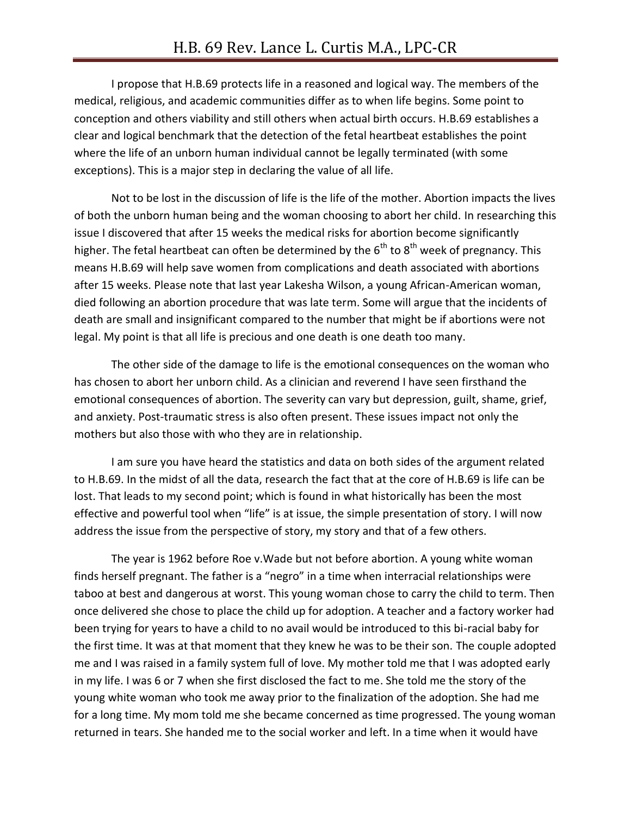I propose that H.B.69 protects life in a reasoned and logical way. The members of the medical, religious, and academic communities differ as to when life begins. Some point to conception and others viability and still others when actual birth occurs. H.B.69 establishes a clear and logical benchmark that the detection of the fetal heartbeat establishes the point where the life of an unborn human individual cannot be legally terminated (with some exceptions). This is a major step in declaring the value of all life.

Not to be lost in the discussion of life is the life of the mother. Abortion impacts the lives of both the unborn human being and the woman choosing to abort her child. In researching this issue I discovered that after 15 weeks the medical risks for abortion become significantly higher. The fetal heartbeat can often be determined by the  $6<sup>th</sup>$  to  $8<sup>th</sup>$  week of pregnancy. This means H.B.69 will help save women from complications and death associated with abortions after 15 weeks. Please note that last year Lakesha Wilson, a young African-American woman, died following an abortion procedure that was late term. Some will argue that the incidents of death are small and insignificant compared to the number that might be if abortions were not legal. My point is that all life is precious and one death is one death too many.

The other side of the damage to life is the emotional consequences on the woman who has chosen to abort her unborn child. As a clinician and reverend I have seen firsthand the emotional consequences of abortion. The severity can vary but depression, guilt, shame, grief, and anxiety. Post-traumatic stress is also often present. These issues impact not only the mothers but also those with who they are in relationship.

I am sure you have heard the statistics and data on both sides of the argument related to H.B.69. In the midst of all the data, research the fact that at the core of H.B.69 is life can be lost. That leads to my second point; which is found in what historically has been the most effective and powerful tool when "life" is at issue, the simple presentation of story. I will now address the issue from the perspective of story, my story and that of a few others.

The year is 1962 before Roe v.Wade but not before abortion. A young white woman finds herself pregnant. The father is a "negro" in a time when interracial relationships were taboo at best and dangerous at worst. This young woman chose to carry the child to term. Then once delivered she chose to place the child up for adoption. A teacher and a factory worker had been trying for years to have a child to no avail would be introduced to this bi-racial baby for the first time. It was at that moment that they knew he was to be their son. The couple adopted me and I was raised in a family system full of love. My mother told me that I was adopted early in my life. I was 6 or 7 when she first disclosed the fact to me. She told me the story of the young white woman who took me away prior to the finalization of the adoption. She had me for a long time. My mom told me she became concerned as time progressed. The young woman returned in tears. She handed me to the social worker and left. In a time when it would have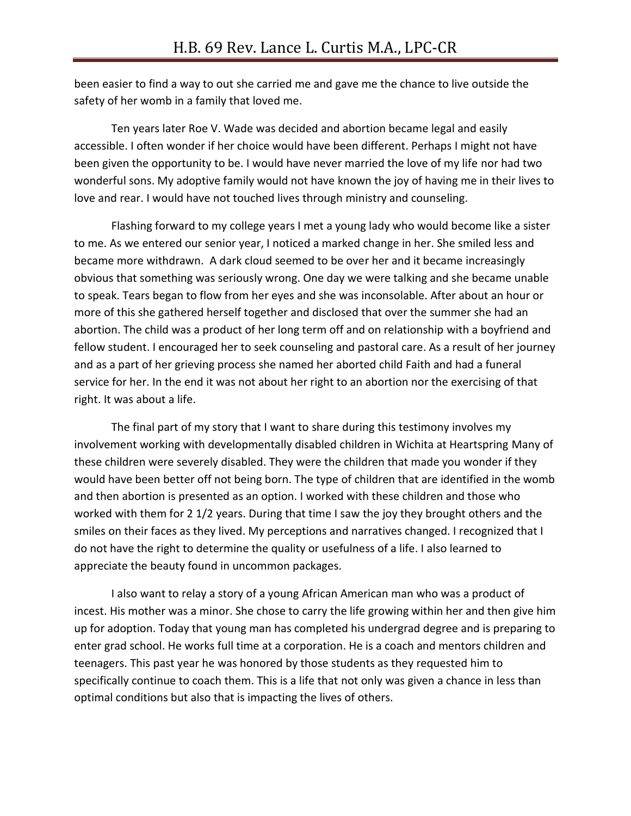been easier to find a way to out she carried me and gave me the chance to live outside the safety of her womb in a family that loved me.

Ten years later Roe V. Wade was decided and abortion became legal and easily accessible. I often wonder if her choice would have been different. Perhaps I might not have been given the opportunity to be. I would have never married the love of my life nor had two wonderful sons. My adoptive family would not have known the joy of having me in their lives to love and rear. I would have not touched lives through ministry and counseling.

Flashing forward to my college years I met a young lady who would become like a sister to me. As we entered our senior year, I noticed a marked change in her. She smiled less and became more withdrawn. A dark cloud seemed to be over her and it became increasingly obvious that something was seriously wrong. One day we were talking and she became unable to speak. Tears began to flow from her eyes and she was inconsolable. After about an hour or more of this she gathered herself together and disclosed that over the summer she had an abortion. The child was a product of her long term off and on relationship with a boyfriend and fellow student. I encouraged her to seek counseling and pastoral care. As a result of her journey and as a part of her grieving process she named her aborted child Faith and had a funeral service for her. In the end it was not about her right to an abortion nor the exercising of that right. It was about a life.

The final part of my story that I want to share during this testimony involves my involvement working with developmentally disabled children in Wichita at Heartspring Many of these children were severely disabled. They were the children that made you wonder if they would have been better off not being born. The type of children that are identified in the womb and then abortion is presented as an option. I worked with these children and those who worked with them for 2 1/2 years. During that time I saw the joy they brought others and the smiles on their faces as they lived. My perceptions and narratives changed. I recognized that I do not have the right to determine the quality or usefulness of a life. I also learned to appreciate the beauty found in uncommon packages.

I also want to relay a story of a young African American man who was a product of incest. His mother was a minor. She chose to carry the life growing within her and then give him up for adoption. Today that young man has completed his undergrad degree and is preparing to enter grad school. He works full time at a corporation. He is a coach and mentors children and teenagers. This past year he was honored by those students as they requested him to specifically continue to coach them. This is a life that not only was given a chance in less than optimal conditions but also that is impacting the lives of others.